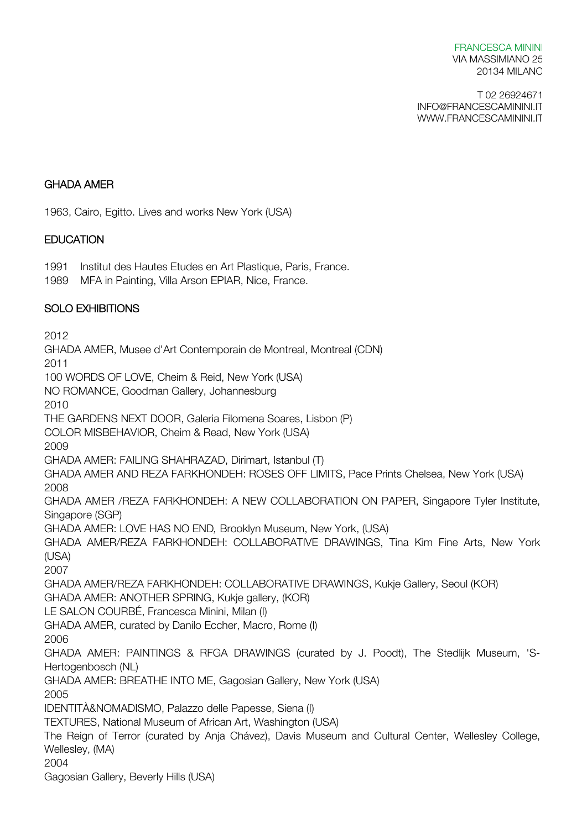#### FRANCESCA MININI VIA MASSIMIANO 25 20134 MILANO

T 02 26924671 INFO@FRANCESCAMININI.IT WWW.FRANCESCAMININI.IT

#### GHADA AMER

1963, Cairo, Egitto. Lives and works New York (USA)

## **EDUCATION**

1991 Institut des Hautes Etudes en Art Plastique, Paris, France.

1989 MFA in Painting, Villa Arson EPIAR, Nice, France.

## SOLO EXHIBITIONS

2012 GHADA AMER, Musee d'Art Contemporain de Montreal, Montreal (CDN) 2011 100 WORDS OF LOVE, Cheim & Reid, New York (USA) NO ROMANCE, Goodman Gallery, Johannesburg 2010 THE GARDENS NEXT DOOR, Galeria Filomena Soares, Lisbon (P) COLOR MISBEHAVIOR, Cheim & Read, New York (USA) 2009 GHADA AMER: FAILING SHAHRAZAD, Dirimart, Istanbul (T) GHADA AMER AND REZA FARKHONDEH: ROSES OFF LIMITS, Pace Prints Chelsea, New York (USA) 2008 GHADA AMER /REZA FARKHONDEH: A NEW COLLABORATION ON PAPER, Singapore Tyler Institute, Singapore (SGP) GHADA AMER: LOVE HAS NO END*,* Brooklyn Museum, New York, (USA) GHADA AMER/REZA FARKHONDEH: COLLABORATIVE DRAWINGS, Tina Kim Fine Arts, New York (USA) 2007 GHADA AMER/REZA FARKHONDEH: COLLABORATIVE DRAWINGS, Kukje Gallery, Seoul (KOR) GHADA AMER: ANOTHER SPRING, Kukje gallery, (KOR) LE SALON COURBÉ, Francesca Minini, Milan (I) GHADA AMER, curated by Danilo Eccher, Macro, Rome (I) 2006 GHADA AMER: PAINTINGS & RFGA DRAWINGS (curated by J. Poodt), The Stedlijk Museum, 'S-Hertogenbosch (NL) GHADA AMER: BREATHE INTO ME, Gagosian Gallery, New York (USA) 2005 IDENTITÀ&NOMADISMO, Palazzo delle Papesse, Siena (I) TEXTURES, National Museum of African Art, Washington (USA) The Reign of Terror (curated by Anja Chávez), Davis Museum and Cultural Center, Wellesley College, Wellesley, (MA) 2004 Gagosian Gallery, Beverly Hills (USA)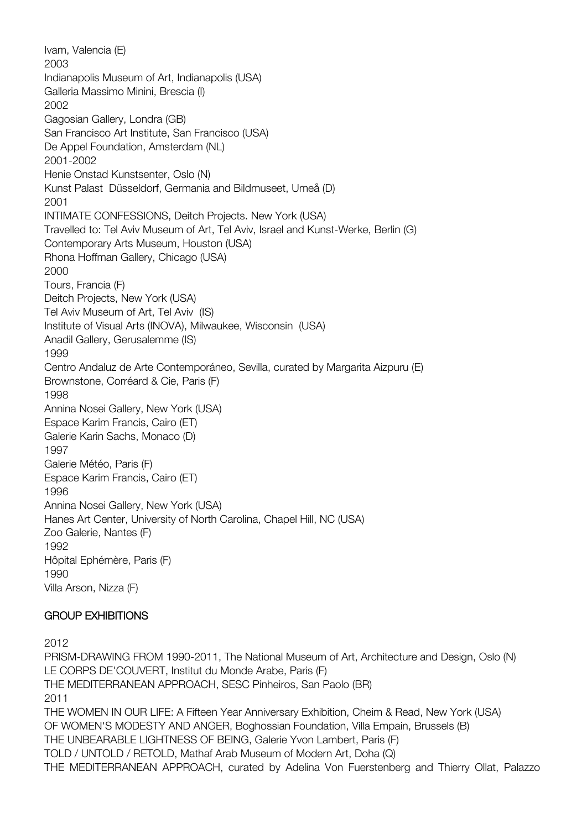Ivam, Valencia (E) 2003 Indianapolis Museum of Art, Indianapolis (USA) Galleria Massimo Minini, Brescia (I) 2002 Gagosian Gallery, Londra (GB) San Francisco Art Institute, San Francisco (USA) De Appel Foundation, Amsterdam (NL) 2001-2002 Henie Onstad Kunstsenter, Oslo (N) Kunst Palast Düsseldorf, Germania and Bildmuseet, Umeå (D) 2001 INTIMATE CONFESSIONS, Deitch Projects. New York (USA) Travelled to: Tel Aviv Museum of Art, Tel Aviv, Israel and Kunst-Werke, Berlin (G) Contemporary Arts Museum, Houston (USA) Rhona Hoffman Gallery, Chicago (USA) 2000 Tours, Francia (F) Deitch Projects, New York (USA) Tel Aviv Museum of Art, Tel Aviv (IS) Institute of Visual Arts (INOVA), Milwaukee, Wisconsin (USA) Anadil Gallery, Gerusalemme (IS) 1999 Centro Andaluz de Arte Contemporáneo, Sevilla, curated by Margarita Aizpuru (E) Brownstone, Corréard & Cie, Paris (F) 1998 Annina Nosei Gallery, New York (USA) Espace Karim Francis, Cairo (ET) Galerie Karin Sachs, Monaco (D) 1997 Galerie Météo, Paris (F) Espace Karim Francis, Cairo (ET) 1996 Annina Nosei Gallery, New York (USA) Hanes Art Center, University of North Carolina, Chapel Hill, NC (USA) Zoo Galerie, Nantes (F) 1992 Hôpital Ephémère, Paris (F) 1990 Villa Arson, Nizza (F)

# GROUP EXHIBITIONS

2012

PRISM-DRAWING FROM 1990-2011, The National Museum of Art, Architecture and Design, Oslo (N) LE CORPS DE'COUVERT, Institut du Monde Arabe, Paris (F) THE MEDITERRANEAN APPROACH, SESC Pinheiros, San Paolo (BR) 2011 THE WOMEN IN OUR LIFE: A Fifteen Year Anniversary Exhibition, Cheim & Read, New York (USA) OF WOMEN'S MODESTY AND ANGER, Boghossian Foundation, Villa Empain, Brussels (B) THE UNBEARABLE LIGHTNESS OF BEING, Galerie Yvon Lambert, Paris (F) TOLD / UNTOLD / RETOLD, Mathaf Arab Museum of Modern Art, Doha (Q) THE MEDITERRANEAN APPROACH, curated by Adelina Von Fuerstenberg and Thierry Ollat, Palazzo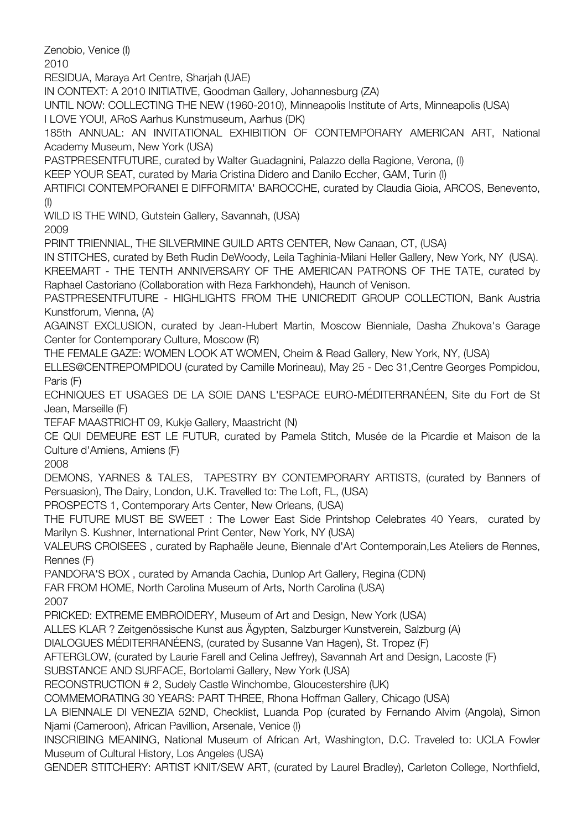Zenobio, Venice (I)

2010

RESIDUA, Maraya Art Centre, Sharjah (UAE)

IN CONTEXT: A 2010 INITIATIVE, Goodman Gallery, Johannesburg (ZA)

UNTIL NOW: COLLECTING THE NEW (1960-2010), Minneapolis Institute of Arts, Minneapolis (USA)

I LOVE YOU!, ARoS Aarhus Kunstmuseum, Aarhus (DK)

185th ANNUAL: AN INVITATIONAL EXHIBITION OF CONTEMPORARY AMERICAN ART, National Academy Museum, New York (USA)

PASTPRESENTFUTURE, curated by Walter Guadagnini, Palazzo della Ragione, Verona, (I)

KEEP YOUR SEAT, curated by Maria Cristina Didero and Danilo Eccher, GAM, Turin (I)

ARTIFICI CONTEMPORANEI E DIFFORMITA' BAROCCHE, curated by Claudia Gioia, ARCOS, Benevento, (I)

WILD IS THE WIND, Gutstein Gallery, Savannah, (USA)

2009

PRINT TRIENNIAL, THE SILVERMINE GUILD ARTS CENTER, New Canaan, CT, (USA)

IN STITCHES, curated by Beth Rudin DeWoody, Leila Taghinia-Milani Heller Gallery, New York, NY (USA). KREEMART - THE TENTH ANNIVERSARY OF THE AMERICAN PATRONS OF THE TATE, curated by Raphael Castoriano (Collaboration with Reza Farkhondeh), Haunch of Venison.

PASTPRESENTFUTURE - HIGHLIGHTS FROM THE UNICREDIT GROUP COLLECTION, Bank Austria Kunstforum, Vienna, (A)

AGAINST EXCLUSION, curated by Jean-Hubert Martin, Moscow Bienniale, Dasha Zhukova's Garage Center for Contemporary Culture, Moscow (R)

THE FEMALE GAZE: WOMEN LOOK AT WOMEN, Cheim & Read Gallery, New York, NY, (USA)

ELLES@CENTREPOMPIDOU (curated by Camille Morineau), May 25 - Dec 31,Centre Georges Pompidou, Paris (F)

ECHNIQUES ET USAGES DE LA SOIE DANS L'ESPACE EURO-MÉDITERRANÉEN, Site du Fort de St Jean, Marseille (F)

TEFAF MAASTRICHT 09, Kukje Gallery, Maastricht (N)

CE QUI DEMEURE EST LE FUTUR, curated by Pamela Stitch, Musée de la Picardie et Maison de la Culture d'Amiens, Amiens (F)

2008

DEMONS, YARNES & TALES, TAPESTRY BY CONTEMPORARY ARTISTS, (curated by Banners of Persuasion), The Dairy, London, U.K. Travelled to: The Loft, FL, (USA)

PROSPECTS 1, Contemporary Arts Center, New Orleans, (USA)

THE FUTURE MUST BE SWEET : The Lower East Side Printshop Celebrates 40 Years, curated by Marilyn S. Kushner, International Print Center, New York, NY (USA)

VALEURS CROISEES , curated by Raphaële Jeune, Biennale d'Art Contemporain,Les Ateliers de Rennes, Rennes (F)

PANDORA'S BOX , curated by Amanda Cachia, Dunlop Art Gallery, Regina (CDN)

FAR FROM HOME, North Carolina Museum of Arts, North Carolina (USA)

2007

PRICKED: EXTREME EMBROIDERY, Museum of Art and Design, New York (USA)

ALLES KLAR ? Zeitgenössische Kunst aus Ägypten, Salzburger Kunstverein, Salzburg (A)

DIALOGUES MÉDITERRANÉENS, (curated by Susanne Van Hagen), St. Tropez (F)

AFTERGLOW, (curated by Laurie Farell and Celina Jeffrey), Savannah Art and Design, Lacoste (F)

SUBSTANCE AND SURFACE, Bortolami Gallery, New York (USA)

RECONSTRUCTION # 2, Sudely Castle Winchombe, Gloucestershire (UK)

COMMEMORATING 30 YEARS: PART THREE, Rhona Hoffman Gallery, Chicago (USA)

LA BIENNALE DI VENEZIA 52ND, Checklist, Luanda Pop (curated by Fernando Alvim (Angola), Simon Njami (Cameroon), African Pavillion, Arsenale, Venice (I)

INSCRIBING MEANING, National Museum of African Art, Washington, D.C. Traveled to: UCLA Fowler Museum of Cultural History, Los Angeles (USA)

GENDER STITCHERY: ARTIST KNIT/SEW ART, (curated by Laurel Bradley), Carleton College, Northfield,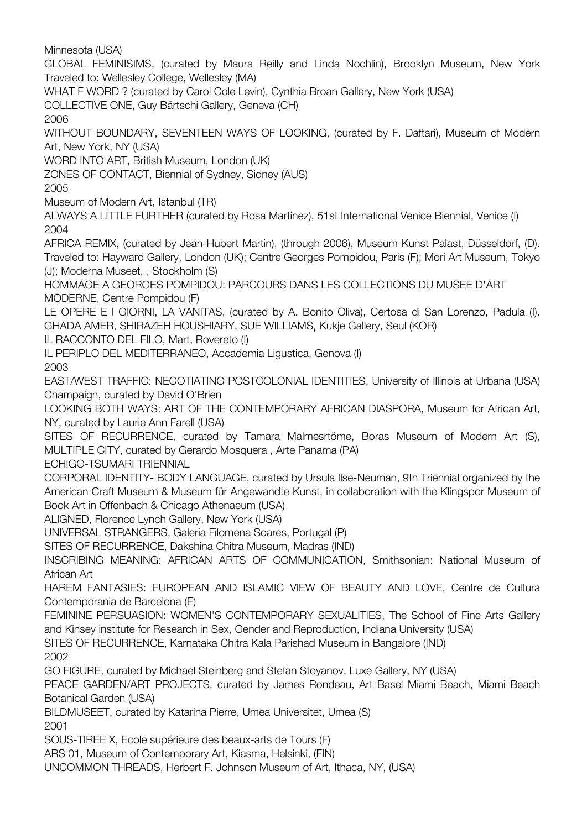Minnesota (USA)

GLOBAL FEMINISIMS, (curated by Maura Reilly and Linda Nochlin), Brooklyn Museum, New York Traveled to: Wellesley College, Wellesley (MA)

WHAT F WORD ? (curated by Carol Cole Levin), Cynthia Broan Gallery, New York (USA)

COLLECTIVE ONE, Guy Bärtschi Gallery, Geneva (CH)

2006

WITHOUT BOUNDARY, SEVENTEEN WAYS OF LOOKING, (curated by F. Daftari), Museum of Modern Art, New York, NY (USA)

WORD INTO ART, British Museum, London (UK)

ZONES OF CONTACT, Biennial of Sydney, Sidney (AUS)

2005

Museum of Modern Art, Istanbul (TR)

ALWAYS A LITTLE FURTHER (curated by Rosa Martinez), 51st International Venice Biennial, Venice (I) 2004

AFRICA REMIX, (curated by Jean-Hubert Martin), (through 2006), Museum Kunst Palast, Düsseldorf, (D). Traveled to: Hayward Gallery, London (UK); Centre Georges Pompidou, Paris (F); Mori Art Museum, Tokyo (J); Moderna Museet, , Stockholm (S)

HOMMAGE A GEORGES POMPIDOU: PARCOURS DANS LES COLLECTIONS DU MUSEE D'ART MODERNE, Centre Pompidou (F)

LE OPERE E I GIORNI, LA VANITAS, (curated by A. Bonito Oliva), Certosa di San Lorenzo, Padula (I). GHADA AMER, SHIRAZEH HOUSHIARY, SUE WILLIAMS, Kukje Gallery, Seul (KOR)

IL RACCONTO DEL FILO, Mart, Rovereto (I)

IL PERIPLO DEL MEDITERRANEO, Accademia Ligustica, Genova (I) 2003

EAST/WEST TRAFFIC: NEGOTIATING POSTCOLONIAL IDENTITIES, University of Illinois at Urbana (USA) Champaign, curated by David O'Brien

LOOKING BOTH WAYS: ART OF THE CONTEMPORARY AFRICAN DIASPORA, Museum for African Art, NY, curated by Laurie Ann Farell (USA)

SITES OF RECURRENCE, curated by Tamara Malmesrtöme, Boras Museum of Modern Art (S), MULTIPLE CITY, curated by Gerardo Mosquera , Arte Panama (PA)

ECHIGO-TSUMARI TRIENNIAL

CORPORAL IDENTITY- BODY LANGUAGE, curated by Ursula Ilse-Neuman, 9th Triennial organized by the American Craft Museum & Museum für Angewandte Kunst, in collaboration with the Klingspor Museum of Book Art in Offenbach & Chicago Athenaeum (USA)

ALIGNED, Florence Lynch Gallery, New York (USA)

UNIVERSAL STRANGERS, Galeria Filomena Soares, Portugal (P)

SITES OF RECURRENCE, Dakshina Chitra Museum, Madras (IND)

INSCRIBING MEANING: AFRICAN ARTS OF COMMUNICATION, Smithsonian: National Museum of African Art

HAREM FANTASIES: EUROPEAN AND ISLAMIC VIEW OF BEAUTY AND LOVE, Centre de Cultura Contemporania de Barcelona (E)

FEMININE PERSUASION: WOMEN'S CONTEMPORARY SEXUALITIES, The School of Fine Arts Gallery and Kinsey institute for Research in Sex, Gender and Reproduction, Indiana University (USA)

SITES OF RECURRENCE, Karnataka Chitra Kala Parishad Museum in Bangalore (IND) 2002

GO FIGURE, curated by Michael Steinberg and Stefan Stoyanov, Luxe Gallery, NY (USA)

PEACE GARDEN/ART PROJECTS, curated by James Rondeau, Art Basel Miami Beach, Miami Beach Botanical Garden (USA)

BILDMUSEET, curated by Katarina Pierre, Umea Universitet, Umea (S) 2001

SOUS-TIREE X, Ecole supérieure des beaux-arts de Tours (F)

ARS 01, Museum of Contemporary Art, Kiasma, Helsinki, (FIN)

UNCOMMON THREADS, Herbert F. Johnson Museum of Art, Ithaca, NY, (USA)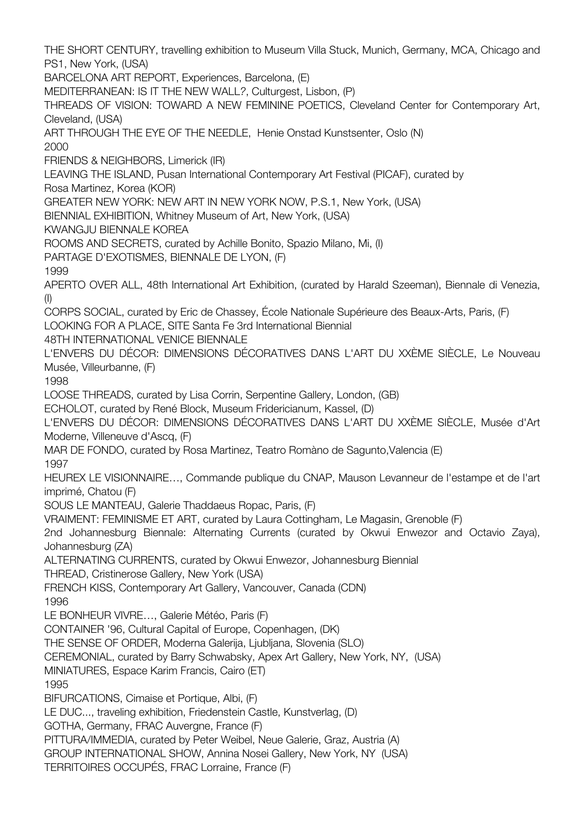THE SHORT CENTURY, travelling exhibition to Museum Villa Stuck, Munich, Germany, MCA, Chicago and PS1, New York, (USA)

BARCELONA ART REPORT, Experiences, Barcelona, (E)

MEDITERRANEAN: IS IT THE NEW WALL*?*, Culturgest, Lisbon, (P)

THREADS OF VISION: TOWARD A NEW FEMININE POETICS, Cleveland Center for Contemporary Art, Cleveland, (USA)

ART THROUGH THE EYE OF THE NEEDLE, Henie Onstad Kunstsenter, Oslo (N)

2000

FRIENDS & NEIGHBORS, Limerick (IR)

LEAVING THE ISLAND, Pusan International Contemporary Art Festival (PICAF), curated by Rosa Martinez, Korea (KOR)

GREATER NEW YORK: NEW ART IN NEW YORK NOW, P.S.1, New York, (USA)

BIENNIAL EXHIBITION, Whitney Museum of Art, New York, (USA)

KWANGJU BIENNALE KOREA

ROOMS AND SECRETS, curated by Achille Bonito, Spazio Milano, Mi, (I)

PARTAGE D'EXOTISMES, BIENNALE DE LYON, (F)

1999

APERTO OVER ALL, 48th International Art Exhibition, (curated by Harald Szeeman), Biennale di Venezia, (I)

CORPS SOCIAL, curated by Eric de Chassey, École Nationale Supérieure des Beaux-Arts, Paris, (F)

LOOKING FOR A PLACE, SITE Santa Fe 3rd International Biennial

48TH INTERNATIONAL VENICE BIENNALE

L'ENVERS DU DÉCOR: DIMENSIONS DÉCORATIVES DANS L'ART DU XXÈME SIÈCLE, Le Nouveau Musée, Villeurbanne, (F)

1998

LOOSE THREADS, curated by Lisa Corrin, Serpentine Gallery, London, (GB)

ECHOLOT, curated by René Block, Museum Fridericianum, Kassel, (D)

L'ENVERS DU DÉCOR: DIMENSIONS DÉCORATIVES DANS L'ART DU XXÈME SIÈCLE, Musée d'Art Moderne, Villeneuve d'Ascq, (F)

MAR DE FONDO, curated by Rosa Martinez, Teatro Romàno de Sagunto,Valencia (E) 1997

HEUREX LE VISIONNAIRE…, Commande publique du CNAP, Mauson Levanneur de l'estampe et de l'art imprimé, Chatou (F)

SOUS LE MANTEAU, Galerie Thaddaeus Ropac, Paris, (F)

VRAIMENT: FEMINISME ET ART, curated by Laura Cottingham, Le Magasin, Grenoble (F)

2nd Johannesburg Biennale: Alternating Currents (curated by Okwui Enwezor and Octavio Zaya), Johannesburg (ZA)

ALTERNATING CURRENTS, curated by Okwui Enwezor, Johannesburg Biennial

THREAD, Cristinerose Gallery, New York (USA)

FRENCH KISS, Contemporary Art Gallery, Vancouver, Canada (CDN) 1996

LE BONHEUR VIVRE…, Galerie Météo, Paris (F)

CONTAINER '96, Cultural Capital of Europe, Copenhagen, (DK)

THE SENSE OF ORDER, Moderna Galerija, Ljubljana, Slovenia (SLO)

CEREMONIAL, curated by Barry Schwabsky, Apex Art Gallery, New York, NY, (USA)

MINIATURES, Espace Karim Francis, Cairo (ET)

1995

BIFURCATIONS, Cimaise et Portique, Albi, (F)

LE DUC..., traveling exhibition, Friedenstein Castle, Kunstverlag, (D)

GOTHA, Germany, FRAC Auvergne, France (F)

PITTURA/IMMEDIA, curated by Peter Weibel, Neue Galerie, Graz, Austria (A)

GROUP INTERNATIONAL SHOW, Annina Nosei Gallery, New York, NY (USA)

TERRITOIRES OCCUPÉS, FRAC Lorraine, France (F)